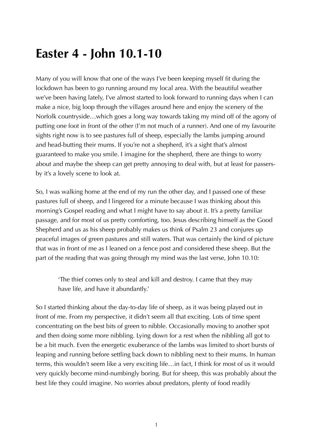## **Easter 4 - John 10.1-10**

Many of you will know that one of the ways I've been keeping myself fit during the lockdown has been to go running around my local area. With the beautiful weather we've been having lately, I've almost started to look forward to running days when I can make a nice, big loop through the villages around here and enjoy the scenery of the Norfolk countryside…which goes a long way towards taking my mind off of the agony of putting one foot in front of the other (I'm not much of a runner). And one of my favourite sights right now is to see pastures full of sheep, especially the lambs jumping around and head-butting their mums. If you're not a shepherd, it's a sight that's almost guaranteed to make you smile. I imagine for the shepherd, there are things to worry about and maybe the sheep can get pretty annoying to deal with, but at least for passersby it's a lovely scene to look at.

So, I was walking home at the end of my run the other day, and I passed one of these pastures full of sheep, and I lingered for a minute because I was thinking about this morning's Gospel reading and what I might have to say about it. It's a pretty familiar passage, and for most of us pretty comforting, too. Jesus describing himself as the Good Shepherd and us as his sheep probably makes us think of Psalm 23 and conjures up peaceful images of green pastures and still waters. That was certainly the kind of picture that was in front of me as I leaned on a fence post and considered these sheep. But the part of the reading that was going through my mind was the last verse, John 10.10:

'The thief comes only to steal and kill and destroy. I came that they may have life, and have it abundantly.'

So I started thinking about the day-to-day life of sheep, as it was being played out in front of me. From my perspective, it didn't seem all that exciting. Lots of time spent concentrating on the best bits of green to nibble. Occasionally moving to another spot and then doing some more nibbling. Lying down for a rest when the nibbling all got to be a bit much. Even the energetic exuberance of the lambs was limited to short bursts of leaping and running before settling back down to nibbling next to their mums. In human terms, this wouldn't seem like a very exciting life…in fact, I think for most of us it would very quickly become mind-numbingly boring. But for sheep, this was probably about the best life they could imagine. No worries about predators, plenty of food readily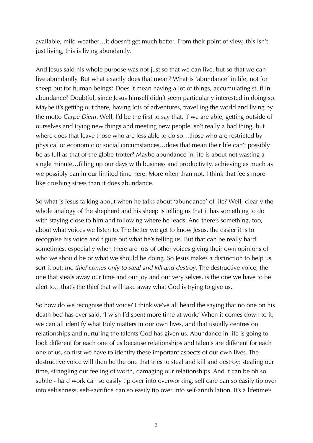available, mild weather…it doesn't get much better. From their point of view, this isn't just living, this is living abundantly.

And Jesus said his whole purpose was not just so that we can live, but so that we can live abundantly. But what exactly does that mean? What is 'abundance' in life, not for sheep but for human beings? Does it mean having a lot of things, accumulating stuff in abundance? Doubtful, since Jesus himself didn't seem particularly interested in doing so. Maybe it's getting out there, having lots of adventures, travelling the world and living by the motto *Carpe Diem*. Well, I'd be the first to say that, if we are able, getting outside of ourselves and trying new things and meeting new people isn't really a bad thing, but where does that leave those who are less able to do so…those who are restricted by physical or economic or social circumstances…does that mean their life can't possibly be as full as that of the globe-trotter? Maybe abundance in life is about not wasting a single minute…filling up our days with business and productivity, achieving as much as we possibly can in our limited time here. More often than not, I think that feels more like crushing stress than it does abundance.

So what is Jesus talking about when he talks about 'abundance' of life? Well, clearly the whole analogy of the shepherd and his sheep is telling us that it has something to do with staying close to him and following where he leads. And there's something, too, about what voices we listen to. The better we get to know Jesus, the easier it is to recognise his voice and figure out what he's telling us. But that can be really hard sometimes, especially when there are lots of other voices giving their own opinions of who we should be or what we should be doing. So Jesus makes a distinction to help us sort it out: *the thief comes only to steal and kill and destroy*. The destructive voice, the one that steals away our time and our joy and our very selves, is the one we have to be alert to…that's the thief that will take away what God is trying to give us.

So how do we recognise that voice? I think we've all heard the saying that no one on his death bed has ever said, 'I wish I'd spent more time at work.' When it comes down to it, we can all identify what truly matters in our own lives, and that usually centres on relationships and nurturing the talents God has given us. Abundance in life is going to look different for each one of us because relationships and talents are different for each one of us, so first we have to identify these important aspects of our own lives. The destructive voice will then be the one that tries to steal and kill and destroy: stealing our time, strangling our feeling of worth, damaging our relationships. And it can be oh so subtle - hard work can so easily tip over into overworking, self care can so easily tip over into selfishness, self-sacrifice can so easily tip over into self-annihilation. It's a lifetime's